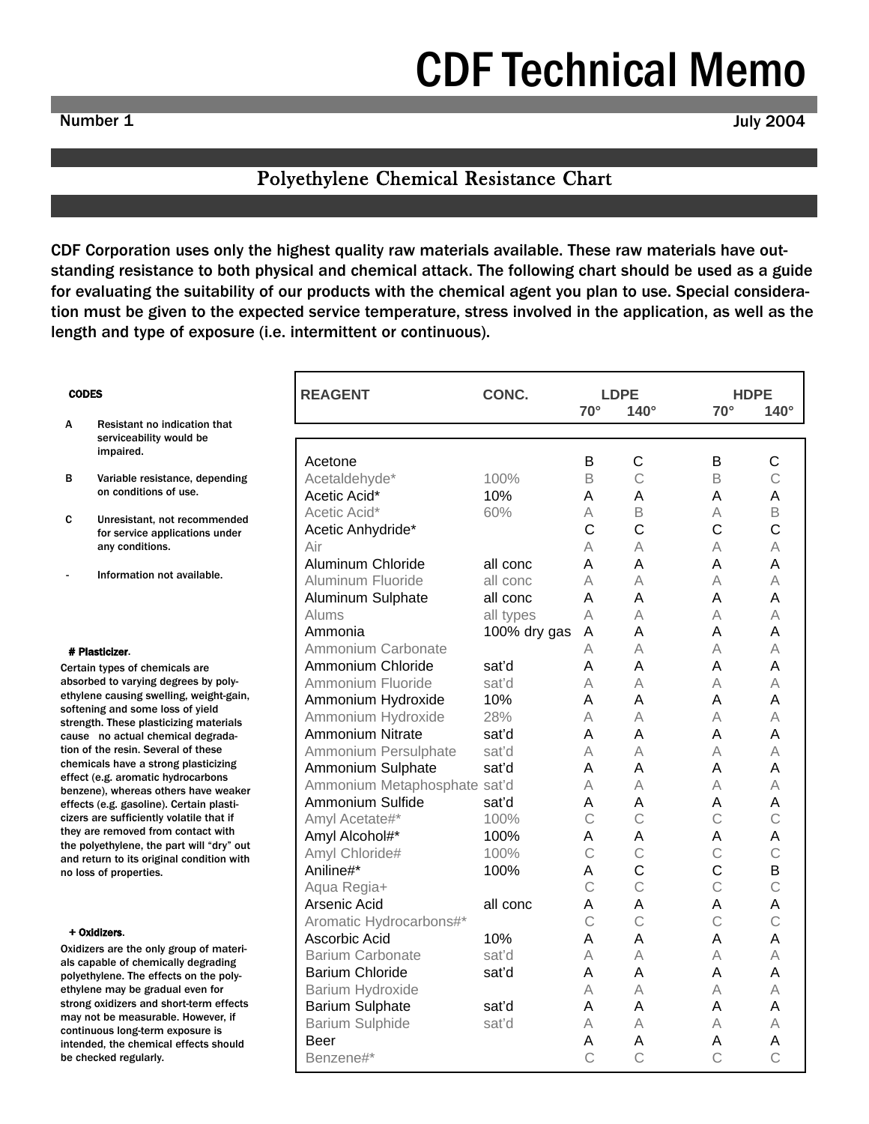# [CDF Technical Memo](http://www.cdf1.com/tech_bulletins.php)

# Polyethylene Chemical Resistance Chart

CDF Corporation uses only the highest quality raw materials available. These raw materials have outstanding resistance to both physical and chemical attack. The following chart should be used as a guide for evaluating the suitability of our products with the chemical agent you plan to use. Special consideration must be given to the expected service temperature, stress involved in the application, as well as the length and type of exposure (i.e. intermittent or continuous).

|                                     | <b>REAGENT</b>               | CONC.        | $70^\circ$    | <b>LDPE</b><br>$140^\circ$ | <b>HDPE</b><br>$70^\circ$ | $140^\circ$  |
|-------------------------------------|------------------------------|--------------|---------------|----------------------------|---------------------------|--------------|
| ication that                        |                              |              |               |                            |                           |              |
| uld be                              |                              |              |               |                            |                           |              |
|                                     | Acetone                      |              | В             | C                          | в                         | C            |
| ice, depending                      | Acetaldehyde*                | 100%         | B             | $\mathcal{C}$              | B                         | C            |
| use.                                | Acetic Acid*                 | 10%          | A             | Α                          | A                         | A            |
|                                     | Acetic Acid*                 | 60%          | А             | B                          | A                         | B            |
| recommended<br>cations under        | Acetic Anhydride*            |              | C             | C                          | C                         | C            |
|                                     | Air                          |              | А             | А                          | Α                         | А            |
|                                     | Aluminum Chloride            | all conc     | A             | Α                          | A                         | Α            |
| available.                          | Aluminum Fluoride            | all conc     | А             | А                          | А                         | А            |
|                                     | Aluminum Sulphate            | all conc     | A             | А                          | A                         | A            |
|                                     | Alums                        | all types    | A             | А                          | A                         | А            |
|                                     | Ammonia                      | 100% dry gas | A             | Α                          | A                         | A            |
|                                     | Ammonium Carbonate           |              | А             | А                          | A                         | А            |
| als are                             | Ammonium Chloride            | sat'd        | Α             | Α                          | A                         | A            |
| rees by poly-                       | Ammonium Fluoride            | sat'd        | А             | А                          | A                         | А            |
| ıg, weight-gain,                    | Ammonium Hydroxide           | 10%          | A             | A                          | A                         | A            |
| s of yield<br>ing materials         | Ammonium Hydroxide           | 28%          | A             | А                          | A                         | A            |
| cal degrada-                        | Ammonium Nitrate             | sat'd        | A             | A                          | A                         | A            |
| l of these                          | Ammonium Persulphate         | sat'd        | А             | А                          | A                         | А            |
| gplasticizing                       | Ammonium Sulphate            | sat'd        | A             | A                          | A                         | A            |
| Irocarbons<br>rs have weaker        | Ammonium Metaphosphate sat'd |              | А             | А                          | А                         | A            |
| ertain plasti-                      | Ammonium Sulfide             | sat'd        | A             | Α                          | A                         | Α            |
| latile that if                      | Amyl Acetate#*               | 100%         | $\mathcal{C}$ | Ċ                          | $\mathsf{C}$              | $\mathsf{C}$ |
| contact with                        | Amyl Alcohol#*               | 100%         | A             | A                          | A                         | A            |
| rt will "dry" out<br>condition with | Amyl Chloride#               | 100%         | $\mathcal{C}$ | C                          | $\ddot{C}$                | C            |
|                                     | Aniline#*                    | 100%         | A             | C                          | $\overline{C}$            | B            |
|                                     | Aqua Regia+                  |              | $\mathcal{C}$ | C                          | $\mathsf{C}$              | C            |
|                                     | Arsenic Acid                 | all conc     | A             | Α                          | Α                         | A            |
|                                     | Aromatic Hydrocarbons#*      |              | $\mathcal{C}$ | $\mathsf{C}$               | $\mathsf{C}$              | $\mathsf{C}$ |
|                                     | Ascorbic Acid                | 10%          | A             | A                          | A                         | A            |
| oup of materi-                      | <b>Barium Carbonate</b>      | sat'd        | А             | А                          | A                         | A            |
| ly degrading<br>s on the poly-      | <b>Barium Chloride</b>       | sat'd        | Α             | A                          | A                         | Α            |
| ıl even for                         | Barium Hydroxide             |              | A             | А                          | А                         | А            |
| rt-term effects                     | <b>Barium Sulphate</b>       | sat'd        | A             | Α                          | A                         | A            |
| . However, if                       | <b>Barium Sulphide</b>       | sat'd        | A             | А                          | A                         | А            |
| posure is:<br>effects should        | Beer                         |              | A             | Α                          | Α                         | A            |
|                                     | Benzene#*                    |              | $\mathcal{C}$ | C                          | $\mathsf{C}$              | C            |
|                                     |                              |              |               |                            |                           |              |

#### **CODES**

- A Resistant no ind serviceability wo impaired.
- **B** Variable resistar on conditions of
- C Unresistant, not for service appliany conditions.
- Information not

#### # Plasticizer.

Certain types of chemic absorbed to varying deg ethylene causing swellin softening and some loss strength. These plasticiz cause no actual chemi tion of the resin. Severa chemicals have a strong effect (e.g. aromatic hyd benzene), whereas other effects (e.g. gasoline). C cizers are sufficiently vo they are removed from the polyethylene, the pa and return to its original no loss of properties.

#### + Oxidizers.

Oxidizers are the only gr als capable of chemical polyethylene. The effect ethylene may be gradua strong oxidizers and sho may not be measurable continuous long-term ex intended, the chemical be checked regularly.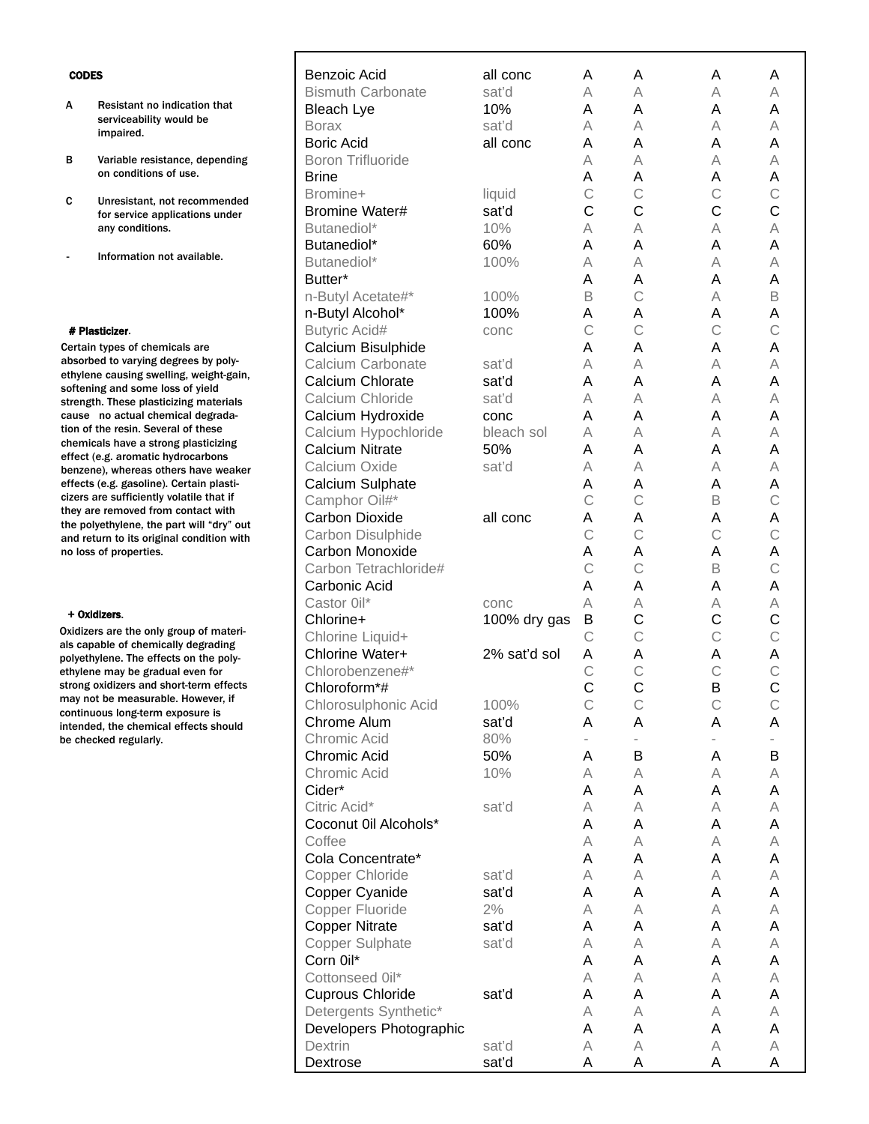- A Resistant no indication that serviceability would be impaired.
- B Variable resistance, depending on conditions of use.
- C Unresistant, not recommended for service applications under any conditions.
- Information not available.

#### # Plasticizer.

Certain types of chemicals are absorbed to varying degrees by polyethylene causing swelling, weight-gain, softening and some loss of yield strength. These plasticizing materials cause no actual chemical degradation of the resin. Several of these chemicals have a strong plasticizing effect (e.g. aromatic hydrocarbons benzene), whereas others have weaker effects (e.g. gasoline). Certain plasticizers are sufficiently volatile that if they are removed from contact with the polyethylene, the part will "dry" out and return to its original condition with no loss of properties.

#### + Oxidizers.

Oxidizers are the only group of materials capable of chemically degrading polyethylene. The effects on the polyethylene may be gradual even for strong oxidizers and short-term effects may not be measurable. However, if continuous long-term exposure is intended, the chemical effects should be checked regularly.

| Benzoic Acid             | all conc     | A                        | A            | Α              | A |
|--------------------------|--------------|--------------------------|--------------|----------------|---|
| <b>Bismuth Carbonate</b> | sat'd        | А                        | А            | A              | Α |
| <b>Bleach Lye</b>        | 10%          | A                        | Α            | A              | A |
| <b>Borax</b>             | sat'd        | А                        | Α            | A              | А |
| <b>Boric Acid</b>        | all conc     | A                        | Α            | A              | Α |
| <b>Boron Trifluoride</b> |              | A                        | Α            | A              | А |
| <b>Brine</b>             |              | Α                        | Α            | Α              | Α |
| Bromine+                 | liquid       | $\mathsf C$              | $\mathsf C$  | $\mathsf{C}$   | C |
| <b>Bromine Water#</b>    | sat'd        | $\mathsf{C}$             | C            | $\overline{C}$ | C |
| Butanediol*              | 10%          | А                        | А            | A              | Α |
| Butanediol*              | 60%          | A                        | Α            | A              | Α |
| Butanediol*              | 100%         | A                        | Α            | A              | А |
| Butter*                  |              | A                        | Α            | A              | Α |
| n-Butyl Acetate#*        | 100%         | B                        | C            | A              | B |
| n-Butyl Alcohol*         | 100%         | Α                        | Α            | Α              | Α |
| <b>Butyric Acid#</b>     | conc         | $\mathsf{C}$             | C            | $\mathsf{C}$   | C |
| Calcium Bisulphide       |              | Α                        | Α            | Α              | Α |
| Calcium Carbonate        | sat'd        | А                        | А            | A              | А |
| Calcium Chlorate         | sat'd        | A                        | Α            | A              | Α |
| Calcium Chloride         | sat'd        | A                        | А            | A              | А |
| Calcium Hydroxide        | conc         | A                        | Α            | A              | Α |
| Calcium Hypochloride     | bleach sol   | А                        | А            | A              | А |
| <b>Calcium Nitrate</b>   | 50%          | A                        | Α            | A              | Α |
| Calcium Oxide            | sat'd        | А                        | Α            | A              | А |
| Calcium Sulphate         |              | Α                        | Α            | Α              | Α |
| Camphor Oil#*            |              | $\mathsf{C}$             | C            | B              | C |
| <b>Carbon Dioxide</b>    | all conc     | Α                        | Α            | Α              | Α |
| Carbon Disulphide        |              | $\mathsf{C}$             | C            | $\mathsf{C}$   | C |
| Carbon Monoxide          |              | Α                        | Α            | Α              | Α |
| Carbon Tetrachloride#    |              | $\mathsf{C}$             | C            | B              | C |
| Carbonic Acid            |              | Α                        | A            | Α              | Α |
| Castor 0il*              | conc         | A                        | Α            | Α              | Α |
| Chlorine+                | 100% dry gas | B                        | C            | C              | C |
| Chlorine Liquid+         |              | $\mathsf{C}$             | $\ddot{C}$   | $\mathsf{C}$   | C |
| Chlorine Water+          | 2% sat'd sol | Α                        | Α            | A              | Α |
| Chlorobenzene#*          |              | $\mathsf{C}$             | $\mathsf{C}$ | $\mathsf{C}$   | C |
| Chloroform*#             |              | Ċ                        | Ċ            | B              | C |
| Chlorosulphonic Acid     | 100%         | C                        | С            | С              | С |
| Chrome Alum              | sat'd        | Α                        | Α            | Α              | Α |
| Chromic Acid             | 80%          | $\overline{\phantom{0}}$ | -            |                |   |
| Chromic Acid             | 50%          | Α                        | B            | Α              | В |
| Chromic Acid             | 10%          | Α                        | Α            | Α              | Α |
| Cider*                   |              | Α                        | Α            | Α              | Α |
| Citric Acid*             | sat'd        | Α                        | Α            | A              | Α |
| Coconut Oil Alcohols*    |              | Α                        | Α            | Α              | Α |
| Coffee                   |              | A                        | Α            | A              | Α |
| Cola Concentrate*        |              | Α                        | Α            | Α              | Α |
| Copper Chloride          | sat'd        | Α                        | Α            | A              | Α |
| Copper Cyanide           | sat'd        | Α                        | Α            | Α              | Α |
| Copper Fluoride          | 2%           | A                        | Α            | A              | Α |
| <b>Copper Nitrate</b>    | sat'd        | Α                        | Α            | Α              | Α |
| <b>Copper Sulphate</b>   | sat'd        | A                        | Α            | A              | Α |
| Corn Oil*                |              | Α                        | Α            | Α              | Α |
| Cottonseed 0il*          |              | A                        | Α            | A              | Α |
| <b>Cuprous Chloride</b>  | sat'd        | А                        | Α            | Α              | Α |
| Detergents Synthetic*    |              | A                        | Α            | A              | Α |
| Developers Photographic  |              | Α                        | Α            | А              | Α |
| Dextrin                  | sat'd        | Α                        | Α            | Α              | Α |
| Dextrose                 | sat'd        | Α                        | Α            | Α              | Α |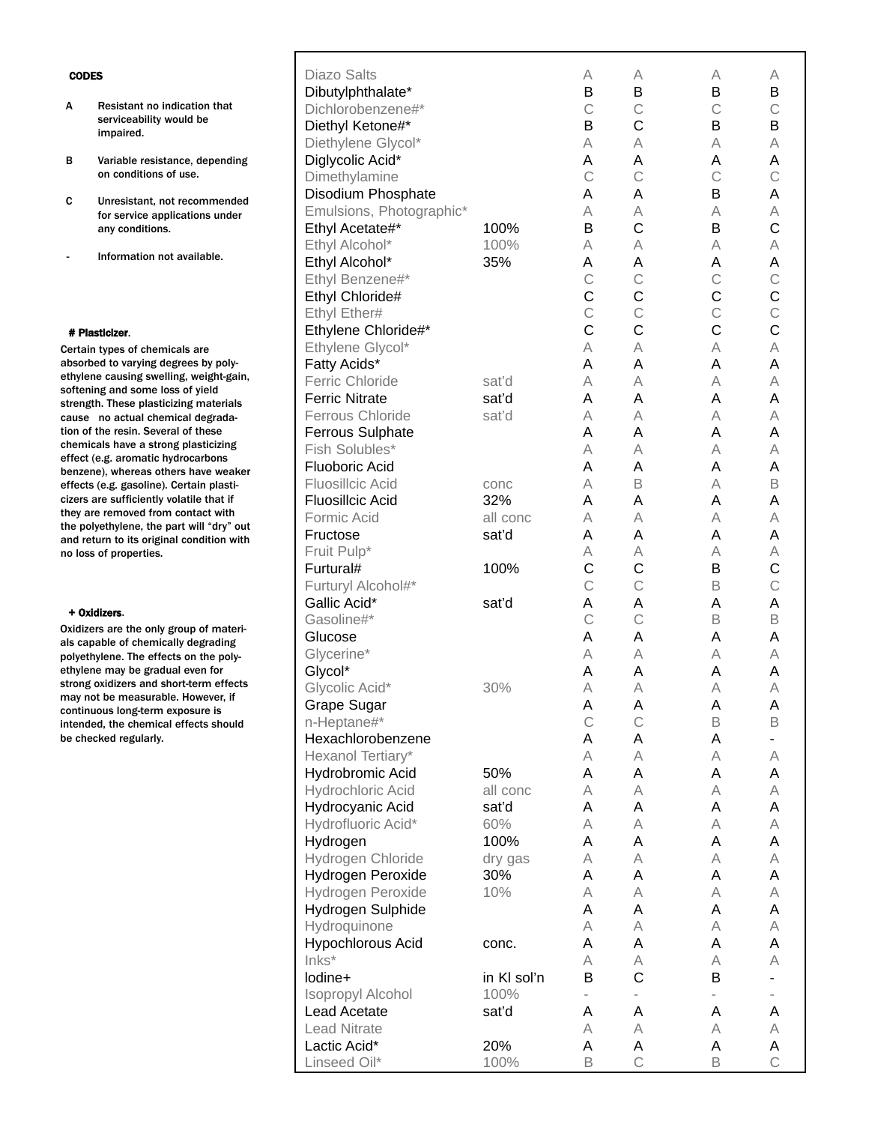- A Resistant no indication that serviceability would be impaired.
- B Variable resistance, depending on conditions of use.
- C Unresistant, not recommended for service applications under any conditions.
- Information not available.

#### # Plasticizer.

Certain types of chemicals are absorbed to varying degrees by polyethylene causing swelling, weight-gain, softening and some loss of yield strength. These plasticizing materials cause no actual chemical degradation of the resin. Several of these chemicals have a strong plasticizing effect (e.g. aromatic hydrocarbons benzene), whereas others have weaker effects (e.g. gasoline). Certain plasticizers are sufficiently volatile that if they are removed from contact with the polyethylene, the part will "dry" out and return to its original condition with no loss of properties.

#### + Oxidizers.

Oxidizers are the only group of materials capable of chemically degrading polyethylene. The effects on the polyethylene may be gradual even for strong oxidizers and short-term effects may not be measurable. However, if continuous long-term exposure is intended, the chemical effects should be checked regularly.

| Diazo Salts              |             | А                 | А                        | A                        | А                 |
|--------------------------|-------------|-------------------|--------------------------|--------------------------|-------------------|
| Dibutylphthalate*        |             | B                 | B                        | B                        | B                 |
| Dichlorobenzene#*        |             | C                 | $\mathsf{C}$             | $\mathsf{C}$             | $\mathsf{C}$      |
| Diethyl Ketone#*         |             | B                 | C                        | B                        | B                 |
| Diethylene Glycol*       |             | A                 | A                        | A                        | A                 |
| Diglycolic Acid*         |             | Α                 | A                        | A                        | Α                 |
| Dimethylamine            |             | $\mathsf{C}$      | $\mathsf{C}$             | $\mathsf{C}$             | $\mathsf{C}$      |
| Disodium Phosphate       |             | Α                 | A                        | B                        | A                 |
| Emulsions, Photographic* |             | A                 | A                        | A                        | A                 |
| Ethyl Acetate#*          | 100%        | B                 | $\mathsf{C}$             | B                        | C                 |
| Ethyl Alcohol*           | 100%        | A                 | A                        | A                        | A                 |
| Ethyl Alcohol*           | 35%         | Α                 | A                        | A                        | Α                 |
| Ethyl Benzene#*          |             | $\mathsf{C}$      | $\mathsf{C}$             | $\mathsf{C}$             | $\mathsf{C}$      |
| Ethyl Chloride#          |             | C                 | $\mathsf{C}$             | $\mathsf C$              | $\mathsf C$       |
| Ethyl Ether#             |             | $\ddot{C}$        | $\mathsf{C}$             | $\mathsf{C}$             | $\mathsf{C}$      |
| Ethylene Chloride#*      |             | C                 | $\mathsf{C}$             | $\mathsf C$              | C                 |
| Ethylene Glycol*         |             | A                 | A                        | A                        | A                 |
| Fatty Acids*             |             | A                 | A                        | A                        | A                 |
| <b>Ferric Chloride</b>   | sat'd       | A                 | A                        | A                        | A                 |
| <b>Ferric Nitrate</b>    | sat'd       | A                 | A                        | A                        | Α                 |
| Ferrous Chloride         | sat'd       | A                 | A                        | A                        | A                 |
| <b>Ferrous Sulphate</b>  |             | A                 | A                        | A                        | Α                 |
| Fish Solubles*           |             | A                 | A                        | A                        | A                 |
| <b>Fluoboric Acid</b>    |             | A                 | A                        | A                        | Α                 |
| <b>Fluosillcic Acid</b>  | conc        | A                 | B                        | A                        | B                 |
| <b>Fluosillcic Acid</b>  | 32%         | A                 | A                        | A                        | A                 |
| Formic Acid              | all conc    | A                 | A                        | A                        | A                 |
| Fructose                 | sat'd       | A                 | A                        | A                        | A                 |
| Fruit Pulp*              |             | Α                 | A                        | A                        | Α                 |
|                          |             |                   |                          |                          |                   |
| Furtural#                | 100%        | C<br>$\mathsf{C}$ | C<br>$\mathsf{C}$        | B<br>B                   | C<br>$\mathsf{C}$ |
| Furturyl Alcohol#*       |             |                   |                          |                          |                   |
| Gallic Acid*             | sat'd       | Α                 | A                        | A                        | A                 |
| Gasoline#*               |             | $\mathsf{C}$      | $\mathsf{C}$             | B                        | B                 |
| Glucose                  |             | A                 | A                        | A                        | Α                 |
| Glycerine*               |             | A                 | A                        | A                        | A                 |
| Glycol*                  |             | A                 | A                        | A                        | A                 |
| Glycolic Acid*           | 30%         | A                 | A                        | A                        | A                 |
| <b>Grape Sugar</b>       |             | Α                 | Α                        | A                        | Α                 |
| n-Heptane#*              |             | $\mathsf{C}$      | $\mathsf{C}$             | B                        | B                 |
| Hexachlorobenzene        |             | Α                 | Α                        | A                        | ۰                 |
| Hexanol Tertiary*        |             | А                 | A                        | A                        | Α                 |
| <b>Hydrobromic Acid</b>  | 50%         | Α                 | A                        | A                        | Α                 |
| Hydrochloric Acid        | all conc    | А                 | A                        | A                        | Α                 |
| Hydrocyanic Acid         | sat'd       | Α                 | A                        | A                        | Α                 |
| Hydrofluoric Acid*       | 60%         | А                 | A                        | A                        | Α                 |
| Hydrogen                 | 100%        | Α                 | A                        | A                        | Α                 |
| Hydrogen Chloride        | dry gas     | А                 | A                        | A                        | Α                 |
| Hydrogen Peroxide        | 30%         | Α                 | A                        | A                        | Α                 |
| Hydrogen Peroxide        | 10%         | А                 | A                        | A                        | Α                 |
| Hydrogen Sulphide        |             | Α                 | A                        | A                        | Α                 |
| Hydroquinone             |             | A                 | A                        | A                        | Α                 |
| <b>Hypochlorous Acid</b> | conc.       | Α                 | Α                        | A                        | Α                 |
| Inks*                    |             | A                 | A                        | A                        | Α                 |
| lodine+                  | in KI sol'n | В                 | C                        | B                        | -                 |
| <b>Isopropyl Alcohol</b> | 100%        |                   | $\overline{\phantom{0}}$ | $\overline{\phantom{0}}$ |                   |
| Lead Acetate             | sat'd       | Α                 | Α                        | A                        | Α                 |
| <b>Lead Nitrate</b>      |             | A                 | A                        | Α                        | A                 |
| Lactic Acid*             | 20%         | Α                 | A                        | A                        | А                 |
| Linseed Oil*             | 100%        | B                 | $\mathsf{C}$             | B                        | $\mathsf{C}$      |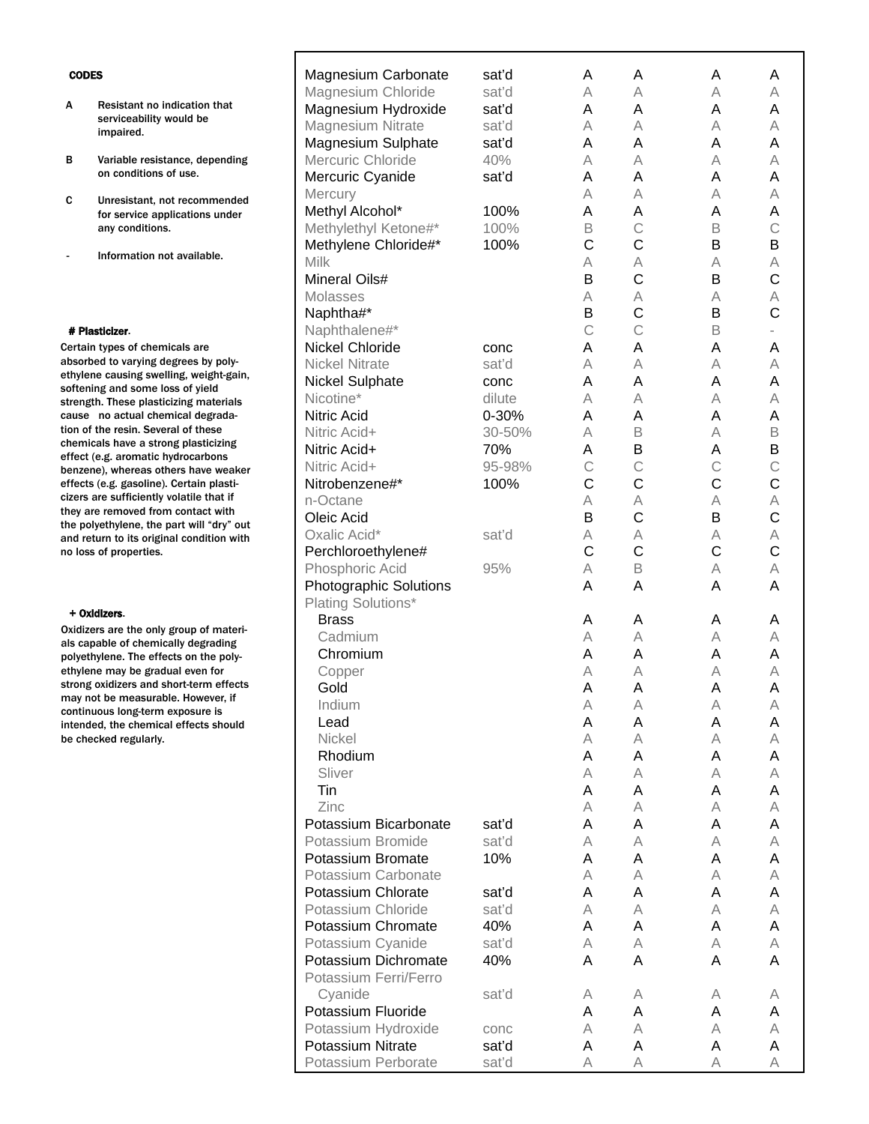| ES.                                                                   | <b>Magnesium Carbonate</b>                    | sat'd  | Α      | A             | A           | A            |
|-----------------------------------------------------------------------|-----------------------------------------------|--------|--------|---------------|-------------|--------------|
|                                                                       | Magnesium Chloride                            | sat'd  | A      | Α             | Α           | A            |
| Resistant no indication that                                          | Magnesium Hydroxide                           | sat'd  | Α      | Α             | A           | A            |
| serviceability would be                                               | Magnesium Nitrate                             | sat'd  | A      | Α             | Α           | A            |
| impaired.                                                             | Magnesium Sulphate                            | sat'd  | Α      | Α             | A           | Α            |
| Variable resistance, depending                                        | Mercuric Chloride                             | 40%    | А      | Α             | A           | A            |
| on conditions of use.                                                 | Mercuric Cyanide                              | sat'd  | Α      | Α             | A           | A            |
|                                                                       | <b>Mercury</b>                                |        | Α      | Α             | Α           | A            |
| Unresistant, not recommended                                          | Methyl Alcohol*                               | 100%   | Α      | Α             | A           | A            |
| for service applications under<br>any conditions.                     | Methylethyl Ketone#*                          | 100%   | B      | $\mathsf C$   | B           | $\mathsf{C}$ |
|                                                                       | Methylene Chloride#*                          | 100%   | C      | C             | B           | B            |
| Information not available.                                            | Milk                                          |        | А      | A             | A           | A            |
|                                                                       | <b>Mineral Oils#</b>                          |        | B      | C             | B           | $\mathsf{C}$ |
|                                                                       | <b>Molasses</b>                               |        | Α      | Α             | Α           | A            |
|                                                                       | Naphtha#*                                     |        | B      | C             | B           | $\mathsf{C}$ |
| sticizer.                                                             | Naphthalene#*                                 |        | C      | $\mathcal{C}$ | B           |              |
| n types of chemicals are                                              | <b>Nickel Chloride</b>                        | conc   | Α      | Α             | A           | A            |
| ed to varying degrees by poly-                                        | <b>Nickel Nitrate</b>                         | sat'd  | Α      | Α             | Α           | A            |
| e causing swelling, weight-gain,                                      | <b>Nickel Sulphate</b>                        | conc   | Α      | Α             | A           | A            |
| ng and some loss of yield                                             | Nicotine*                                     | dilute | Α      | Α             | A           | A            |
| th. These plasticizing materials<br>no actual chemical degrada-       | <b>Nitric Acid</b>                            | 0-30%  | Α      | Α             | A           | A            |
| the resin. Several of these                                           | Nitric Acid+                                  | 30-50% | Α      | $\mathsf B$   | A           | B            |
| cals have a strong plasticizing                                       | Nitric Acid+                                  | 70%    | Α      | B             | A           | B            |
| (e.g. aromatic hydrocarbons                                           | Nitric Acid+                                  | 95-98% | C      | C             | $\mathsf C$ | $\mathsf{C}$ |
| ie), whereas others have weaker                                       | Nitrobenzene#*                                | 100%   | C      | C             | C           | $\mathsf{C}$ |
| (e.g. gasoline). Certain plasti-<br>are sufficiently volatile that if | n-Octane                                      |        | Α      | A             | A           | A            |
| e removed from contact with                                           | Oleic Acid                                    |        | B      | C             | B           | $\mathsf{C}$ |
| yethylene, the part will "dry" out                                    | Oxalic Acid*                                  | sat'd  | Α      | A             | Α           | A            |
| turn to its original condition with                                   | Perchloroethylene#                            |        | C      | $\mathsf C$   | C           | $\mathsf{C}$ |
| ; of properties.                                                      | Phosphoric Acid                               | 95%    | А      | $\mathsf B$   | A           | A            |
|                                                                       |                                               |        | Α      | A             | Α           | Α            |
|                                                                       | Photographic Solutions<br>Plating Solutions*  |        |        |               |             |              |
| dizers.                                                               | <b>Brass</b>                                  |        |        |               |             |              |
| ers are the only group of materi-                                     | Cadmium                                       |        | A      | A<br>A        | A<br>A      | A            |
| able of chemically degrading                                          | Chromium                                      |        | А<br>A | Α             | A           | А<br>A       |
| lylene. The effects on the poly-<br>e may be gradual even for         |                                               |        |        | Α             | A           | A            |
| oxidizers and short-term effects                                      | Copper<br>Gold                                |        | А<br>A | A             | A           | A            |
| ot be measurable. However, if                                         | Indium                                        |        |        |               |             |              |
| uous long-term exposure is                                            |                                               |        | A<br>A | Α<br>Α        | A           | A            |
| ed, the chemical effects should<br>cked regularly.                    | Lead<br>Nickel                                |        | Α      | Α             | Α<br>A      | Α<br>A       |
|                                                                       | Rhodium                                       |        |        | Α             | A           | A            |
|                                                                       | Sliver                                        |        | A<br>А | Α             | A           | A            |
|                                                                       | Tin                                           |        | Α      | Α             | Α           | A            |
|                                                                       | Zinc                                          |        | A      | Α             | A           | A            |
|                                                                       | Potassium Bicarbonate                         | sat'd  | Α      | Α             | A           | A            |
|                                                                       | Potassium Bromide                             | sat'd  |        | Α             | A           | A            |
|                                                                       | Potassium Bromate                             | 10%    | А<br>Α | Α             | Α           | Α            |
|                                                                       | Potassium Carbonate                           |        |        |               |             |              |
|                                                                       | Potassium Chlorate                            | sat'd  | A<br>Α | Α<br>Α        | A<br>A      | A<br>A       |
|                                                                       | Potassium Chloride                            | sat'd  | Α      | Α             | A           | A            |
|                                                                       | Potassium Chromate                            | 40%    |        |               |             |              |
|                                                                       |                                               |        | Α      | Α             | Α           | A            |
|                                                                       | Potassium Cyanide                             | sat'd  | А      | Α             | A           | A<br>A       |
|                                                                       | Potassium Dichromate<br>Potassium Ferri/Ferro | 40%    | Α      | Α             | A           |              |
|                                                                       |                                               |        |        |               |             |              |
|                                                                       | Cyanide                                       | sat'd  | Α<br>A | A<br>A        | A           | Α            |
|                                                                       | Potassium Fluoride                            |        |        |               | А           | Α            |

Potassium Hydroxide conc a A A A A A A A Potassium Nitrate sat'd A A A A A **Potassium Nitrate** sat'd **A** A A A A Potassium Perborate sat'd A A A A A

Potassium Perborate sat'd

#### CODE

A Resistant no indication that

 $\Gamma$ 

- B Variable resistance, depending
- C Unresistant, not recommended
- Information not available.

# # Pla

Certain absorbe ethylen softenin strengt cause tion of chemic effect ( benzen effects cizers a they are the polyethylene, the part will "dry" out and return to its original condition with no loss

## $+$  Oxi

Oxidize als cap polyeth ethylen strong may no continu intende be che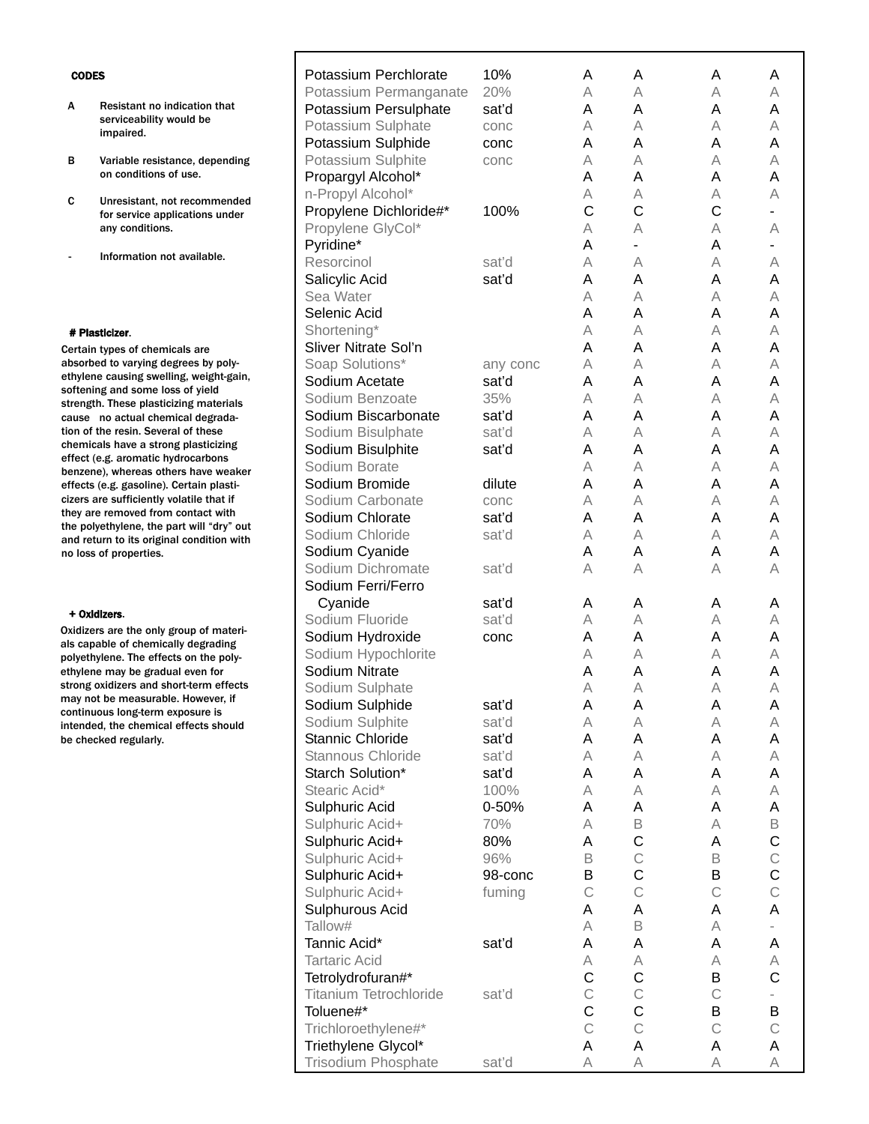|                                                                      | Potassium Perchlorate         | 10%      | Α           | Α            | Α           | Α           |  |
|----------------------------------------------------------------------|-------------------------------|----------|-------------|--------------|-------------|-------------|--|
|                                                                      | Potassium Permanganate        | 20%      | A           | A            | A           | Α           |  |
| esistant no indication that                                          | Potassium Persulphate         | sat'd    | Α           | Α            | Α           | Α           |  |
| erviceability would be<br>npaired.                                   | Potassium Sulphate            | conc     | A           | A            | A           | A           |  |
|                                                                      | Potassium Sulphide            | conc     | Α           | Α            | A           | Α           |  |
| ariable resistance, depending                                        | Potassium Sulphite            | conc     | A           | Α            | A           | A           |  |
| n conditions of use.                                                 | Propargyl Alcohol*            |          | Α           | Α            | A           | Α           |  |
| nresistant, not recommended                                          | n-Propyl Alcohol*             |          | Α           | A            | А           | Α           |  |
| or service applications under                                        | Propylene Dichloride#*        | 100%     | C           | C            | C           |             |  |
| ny conditions.                                                       | Propylene GlyCol*             |          | A           | A            | А           | А           |  |
|                                                                      | Pyridine*                     |          | Α           |              | Α           |             |  |
| nformation not available.                                            | Resorcinol                    | sat'd    | Α           | Α            | А           | Α           |  |
|                                                                      | Salicylic Acid                | sat'd    | Α           | Α            | Α           | Α           |  |
|                                                                      | Sea Water                     |          | A           | Α            | A           | A           |  |
|                                                                      | Selenic Acid                  |          | Α           | Α            | A           | Α           |  |
| cizer.                                                               | Shortening*                   |          | A           | Α            | A           | A           |  |
| pes of chemicals are                                                 | Sliver Nitrate Sol'n          |          | Α           | A            | A           | Α           |  |
| to varying degrees by poly-                                          | Soap Solutions*               | any conc | A           | Α            | A           | A           |  |
| causing swelling, weight-gain,                                       | Sodium Acetate                | sat'd    | Α           | Α            | Α           | Α           |  |
| and some loss of yield<br>These plasticizing materials               | Sodium Benzoate               | 35%      | A           | Α            | A           | Α           |  |
| o actual chemical degrada-                                           | Sodium Biscarbonate           | sat'd    | Α           | Α            | Α           | Α           |  |
| e resin. Several of these                                            | Sodium Bisulphate             | sat'd    | A           | A            | Α           | Α           |  |
| s have a strong plasticizing                                         | Sodium Bisulphite             | sat'd    | Α           | Α            | Α           | Α           |  |
| g. aromatic hydrocarbons<br>whereas others have weaker               | Sodium Borate                 |          | A           | A            | A           | Α           |  |
| g. gasoline). Certain plasti-                                        | Sodium Bromide                | dilute   | Α           | Α            | Α           | Α           |  |
| sufficiently volatile that if                                        | Sodium Carbonate              | conc     | A           | A            | A           | Α           |  |
| removed from contact with                                            | Sodium Chlorate               | sat'd    | Α           | Α            | A           | Α           |  |
| thylene, the part will "dry" out<br>n to its original condition with | Sodium Chloride               | sat'd    | A           | Α            | A           | A           |  |
| f properties.                                                        | Sodium Cyanide                |          | A           | Α            | A           | Α           |  |
|                                                                      | Sodium Dichromate             | sat'd    | Α           | Α            | A           | Α           |  |
|                                                                      | Sodium Ferri/Ferro            |          |             |              |             |             |  |
|                                                                      | Cyanide                       | sat'd    | A           | Α            | A           | A           |  |
| ers.                                                                 | Sodium Fluoride               | sat'd    | А           | А            | Α           | А           |  |
| are the only group of materi-                                        | Sodium Hydroxide              | conc     | Α           | Α            | A           | Α           |  |
| le of chemically degrading<br>ene. The effects on the poly-          | Sodium Hypochlorite           |          | A           | A            | A           | A           |  |
| may be gradual even for                                              | Sodium Nitrate                |          | Α           | Α            | Α           | Α           |  |
| idizers and short-term effects                                       | Sodium Sulphate               |          | A           | Α            | А           | Α           |  |
| pe measurable. However, if                                           | Sodium Sulphide               | sat'd    | Α           | Α            | Α           | Α           |  |
| is long-term exposure is<br>the chemical effects should              | Sodium Sulphite               | sat'd    | А           | А            | A           | Α           |  |
| ed regularly.                                                        | Stannic Chloride              | sat'd    | A           | Α            | Α           | A           |  |
|                                                                      | Stannous Chloride             | sat'd    | A           | A            | Α           | А           |  |
|                                                                      | Starch Solution*              | sat'd    | Α           | Α            | Α           | A           |  |
|                                                                      | Stearic Acid*                 | 100%     | A           | A            | A           | А           |  |
|                                                                      | Sulphuric Acid                | 0-50%    | Α           | Α            | Α           | Α           |  |
|                                                                      | Sulphuric Acid+               | 70%      | А           | $\mathsf B$  | Α           | B           |  |
|                                                                      | Sulphuric Acid+               | 80%      | Α           | $\mathsf C$  | Α           | C           |  |
|                                                                      | Sulphuric Acid+               | 96%      | B           | $\mathsf C$  | $\mathsf B$ | $\mathsf C$ |  |
|                                                                      | Sulphuric Acid+               | 98-conc  | Β           | C            | B           | C           |  |
|                                                                      | Sulphuric Acid+               | fuming   | $\mathsf C$ | $\mathsf{C}$ | $\mathsf C$ | $\mathsf C$ |  |
|                                                                      | Sulphurous Acid               |          | A           | Α            | A           | A           |  |
|                                                                      | Tallow#                       |          | A           | $\mathsf B$  | Α           |             |  |
|                                                                      | Tannic Acid*                  | sat'd    | Α           | А            | Α           | Α           |  |
|                                                                      | <b>Tartaric Acid</b>          |          | Α           | А            | Α           | A           |  |
|                                                                      | Tetrolydrofuran#*             |          | С           | $\mathsf C$  | B           | $\mathsf C$ |  |
|                                                                      | <b>Titanium Tetrochloride</b> | sat'd    | $\mathsf C$ | $\mathsf{C}$ | $\mathsf C$ |             |  |
|                                                                      | Toluene#*                     |          | $\mathsf C$ | C            | B           | Β           |  |
|                                                                      | Trichloroethylene#*           |          | $\mathsf C$ | $\mathsf{C}$ | $\mathsf C$ | $\mathsf C$ |  |
|                                                                      | Triethylene Glycol*           |          | A           | А            | Α           | Α           |  |
|                                                                      | Trisodium Phosphate           | sat'd    | A           | A            | Α           | А           |  |
|                                                                      |                               |          |             |              |             |             |  |

A Resistant no indication that serviceability would be impaired.

Г

- B Variable resistance, depending on conditions of use.
- C Unresistant, not recommended for service applications under an
- Information not available.

# # Plastic

Certain ty absorbed ethylene softening strength. cause no tion of the chemicals effect (e.g benzene), effects (e. cizers are they are re the polyet and return no loss of

## + Oxidize

Oxidizers als capabl polyethyle  $e<sub>th</sub>$  ethylene strong oxi may not b continuou intended, be checke